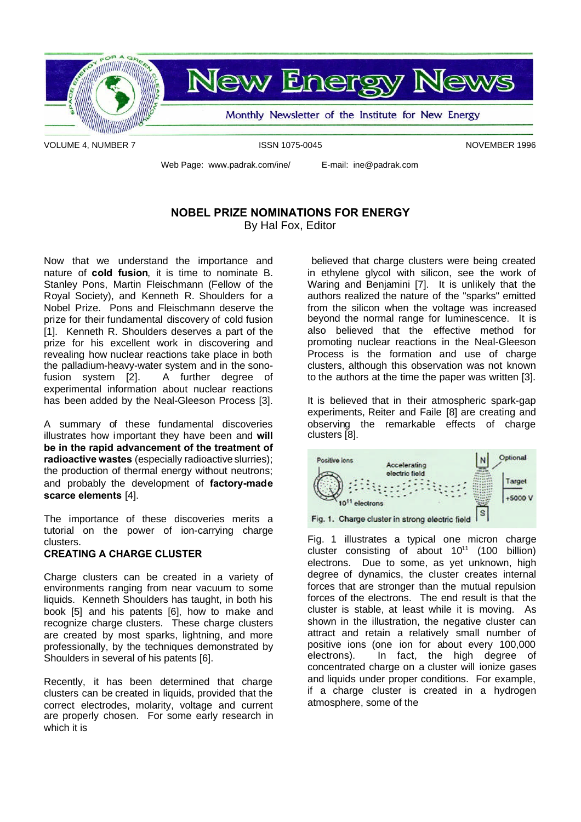

VOLUME 4, NUMBER 7 **ISSN 1075-0045** NOVEMBER 1996

Web Page: www.padrak.com/ine/ E-mail: ine@padrak.com

### **NOBEL PRIZE NOMINATIONS FOR ENERGY** By Hal Fox, Editor

Now that we understand the importance and nature of **cold fusion**, it is time to nominate B. Stanley Pons, Martin Fleischmann (Fellow of the Royal Society), and Kenneth R. Shoulders for a Nobel Prize. Pons and Fleischmann deserve the prize for their fundamental discovery of cold fusion [1]. Kenneth R. Shoulders deserves a part of the prize for his excellent work in discovering and revealing how nuclear reactions take place in both the palladium-heavy-water system and in the sonofusion system [2]. A further degree of experimental information about nuclear reactions has been added by the Neal-Gleeson Process [3].

A summary of these fundamental discoveries illustrates how important they have been and **will be in the rapid advancement of the treatment of radioactive wastes** (especially radioactive slurries); the production of thermal energy without neutrons; and probably the development of **factory-made scarce elements** [4].

The importance of these discoveries merits a tutorial on the power of ion-carrying charge clusters.

#### **CREATING A CHARGE CLUSTER**

Charge clusters can be created in a variety of environments ranging from near vacuum to some liquids. Kenneth Shoulders has taught, in both his book [5] and his patents [6], how to make and recognize charge clusters. These charge clusters are created by most sparks, lightning, and more professionally, by the techniques demonstrated by Shoulders in several of his patents [6].

Recently, it has been determined that charge clusters can be created in liquids, provided that the correct electrodes, molarity, voltage and current are properly chosen. For some early research in which it is

believed that charge clusters were being created in ethylene glycol with silicon, see the work of Waring and Benjamini [7]. It is unlikely that the authors realized the nature of the "sparks" emitted from the silicon when the voltage was increased beyond the normal range for luminescence. It is also believed that the effective method for promoting nuclear reactions in the Neal-Gleeson Process is the formation and use of charge clusters, although this observation was not known to the authors at the time the paper was written [3].

It is believed that in their atmospheric spark-gap experiments, Reiter and Faile [8] are creating and observing the remarkable effects of charge clusters [8].



Fig. 1 illustrates a typical one micron charge cluster consisting of about  $10^{11}$  (100 billion) electrons. Due to some, as yet unknown, high degree of dynamics, the cluster creates internal forces that are stronger than the mutual repulsion forces of the electrons. The end result is that the cluster is stable, at least while it is moving. As shown in the illustration, the negative cluster can attract and retain a relatively small number of positive ions (one ion for about every 100,000 electrons). In fact, the high degree of concentrated charge on a cluster will ionize gases and liquids under proper conditions. For example, if a charge cluster is created in a hydrogen atmosphere, some of the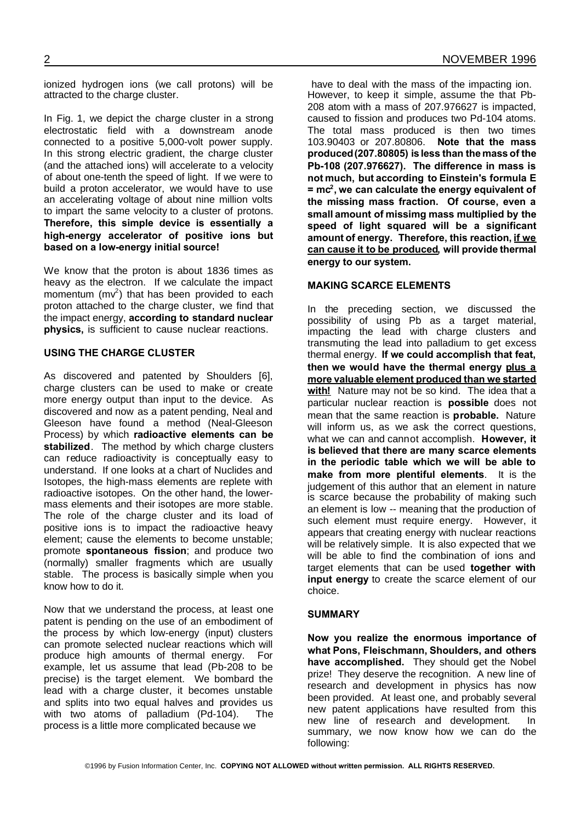ionized hydrogen ions (we call protons) will be attracted to the charge cluster.

In Fig. 1, we depict the charge cluster in a strong electrostatic field with a downstream anode connected to a positive 5,000-volt power supply. In this strong electric gradient, the charge cluster (and the attached ions) will accelerate to a velocity of about one-tenth the speed of light. If we were to build a proton accelerator, we would have to use an accelerating voltage of about nine million volts to impart the same velocity to a cluster of protons. **Therefore, this simple device is essentially a high-energy accelerator of positive ions but based on a low-energy initial source!**

We know that the proton is about 1836 times as heavy as the electron. If we calculate the impact momentum  $(mv^2)$  that has been provided to each proton attached to the charge cluster, we find that the impact energy, **according to standard nuclear physics,** is sufficient to cause nuclear reactions.

#### **USING THE CHARGE CLUSTER**

As discovered and patented by Shoulders [6], charge clusters can be used to make or create more energy output than input to the device. As discovered and now as a patent pending, Neal and Gleeson have found a method (Neal-Gleeson Process) by which **radioactive elements can be stabilized**. The method by which charge clusters can reduce radioactivity is conceptually easy to understand. If one looks at a chart of Nuclides and Isotopes, the high-mass elements are replete with radioactive isotopes. On the other hand, the lowermass elements and their isotopes are more stable. The role of the charge cluster and its load of positive ions is to impact the radioactive heavy element; cause the elements to become unstable; promote **spontaneous fission**; and produce two (normally) smaller fragments which are usually stable. The process is basically simple when you know how to do it.

Now that we understand the process, at least one patent is pending on the use of an embodiment of the process by which low-energy (input) clusters can promote selected nuclear reactions which will produce high amounts of thermal energy. For example, let us assume that lead (Pb-208 to be precise) is the target element. We bombard the lead with a charge cluster, it becomes unstable and splits into two equal halves and provides us with two atoms of palladium (Pd-104). The process is a little more complicated because we

have to deal with the mass of the impacting ion. However, to keep it simple, assume the that Pb-208 atom with a mass of 207.976627 is impacted, caused to fission and produces two Pd-104 atoms. The total mass produced is then two times 103.90403 or 207.80806. **Note that the mass produced(207.80805) is less than the mass of the Pb-108 (207.976627). The difference in mass is not much, but according to Einstein's formula E = mc<sup>2</sup> , we can calculate the energy equivalent of the missing mass fraction. Of course, even a small amount of missimg mass multiplied by the speed of light squared will be a significant amount of energy. Therefore, this reaction, if we can cause it to be produced, will provide thermal energy to our system.**

#### **MAKING SCARCE ELEMENTS**

In the preceding section, we discussed the possibility of using Pb as a target material, impacting the lead with charge clusters and transmuting the lead into palladium to get excess thermal energy. **If we could accomplish that feat, then we would have the thermal energy plus a more valuable element produced than we started with!** Nature may not be so kind. The idea that a particular nuclear reaction is **possible** does not mean that the same reaction is **probable.** Nature will inform us, as we ask the correct questions, what we can and cannot accomplish. **However, it is believed that there are many scarce elements in the periodic table which we will be able to make from more plentiful elements**. It is the judgement of this author that an element in nature is scarce because the probability of making such an element is low -- meaning that the production of such element must require energy. However, it appears that creating energy with nuclear reactions will be relatively simple. It is also expected that we will be able to find the combination of ions and target elements that can be used **together with input energy** to create the scarce element of our choice.

#### **SUMMARY**

**Now you realize the enormous importance of what Pons, Fleischmann, Shoulders, and others have accomplished.** They should get the Nobel prize! They deserve the recognition. A new line of research and development in physics has now been provided. At least one, and probably several new patent applications have resulted from this new line of research and development. In summary, we now know how we can do the following: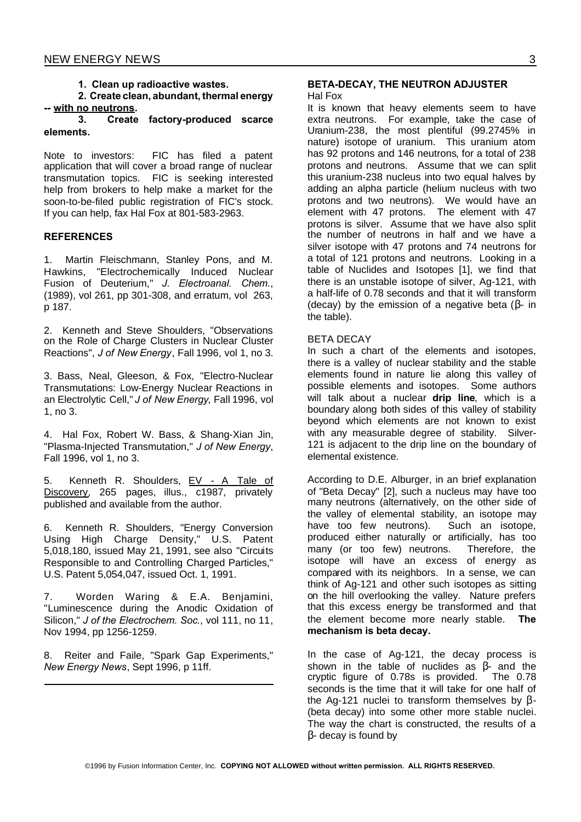#### **1. Clean up radioactive wastes.**

**2. Create clean, abundant, thermal energy -- with no neutrons.**

#### **3. Create factory-produced scarce elements.**

Note to investors: FIC has filed a patent application that will cover a broad range of nuclear transmutation topics. FIC is seeking interested help from brokers to help make a market for the soon-to-be-filed public registration of FIC's stock. If you can help, fax Hal Fox at 801-583-2963.

#### **REFERENCES**

1. Martin Fleischmann, Stanley Pons, and M. Hawkins, "Electrochemically Induced Nuclear Fusion of Deuterium," *J. Electroanal. Chem.*, (1989), vol 261, pp 301-308, and erratum, vol 263, p 187.

2. Kenneth and Steve Shoulders, "Observations on the Role of Charge Clusters in Nuclear Cluster Reactions", *J of New Energy*, Fall 1996, vol 1, no 3.

3. Bass, Neal, Gleeson, & Fox, "Electro-Nuclear Transmutations: Low-Energy Nuclear Reactions in an Electrolytic Cell," *J of New Energy*, Fall 1996, vol 1, no 3.

4. Hal Fox, Robert W. Bass, & Shang-Xian Jin, "Plasma-Injected Transmutation," *J of New Energy*, Fall 1996, vol 1, no 3.

5. Kenneth R. Shoulders, EV - A Tale of Discovery, 265 pages, illus., c1987, privately published and available from the author.

6. Kenneth R. Shoulders, "Energy Conversion Using High Charge Density," U.S. Patent 5,018,180, issued May 21, 1991, see also "Circuits Responsible to and Controlling Charged Particles," U.S. Patent 5,054,047, issued Oct. 1, 1991.

7. Worden Waring & E.A. Benjamini, "Luminescence during the Anodic Oxidation of Silicon," *J of the Electrochem. Soc.*, vol 111, no 11, Nov 1994, pp 1256-1259.

8. Reiter and Faile, "Spark Gap Experiments," *New Energy News*, Sept 1996, p 11ff.

### **BETA-DECAY, THE NEUTRON ADJUSTER**

#### Hal Fox

It is known that heavy elements seem to have extra neutrons. For example, take the case of Uranium-238, the most plentiful (99.2745% in nature) isotope of uranium. This uranium atom has 92 protons and 146 neutrons, for a total of 238 protons and neutrons. Assume that we can split this uranium-238 nucleus into two equal halves by adding an alpha particle (helium nucleus with two protons and two neutrons). We would have an element with 47 protons. The element with 47 protons is silver. Assume that we have also split the number of neutrons in half and we have a silver isotope with 47 protons and 74 neutrons for a total of 121 protons and neutrons. Looking in a table of Nuclides and Isotopes [1], we find that there is an unstable isotope of silver, Ag-121, with a half-life of 0.78 seconds and that it will transform (decay) by the emission of a negative beta  $(B - in)$ the table).

#### BETA DECAY

In such a chart of the elements and isotopes, there is a valley of nuclear stability and the stable elements found in nature lie along this valley of possible elements and isotopes. Some authors will talk about a nuclear **drip line**, which is a boundary along both sides of this valley of stability beyond which elements are not known to exist with any measurable degree of stability. Silver-121 is adjacent to the drip line on the boundary of elemental existence.

According to D.E. Alburger, in an brief explanation of "Beta Decay" [2], such a nucleus may have too many neutrons (alternatively, on the other side of the valley of elemental stability, an isotope may have too few neutrons). Such an isotope, produced either naturally or artificially, has too many (or too few) neutrons. Therefore, the isotope will have an excess of energy as compared with its neighbors. In a sense, we can think of Ag-121 and other such isotopes as sitting on the hill overlooking the valley. Nature prefers that this excess energy be transformed and that the element become more nearly stable. **The mechanism is beta decay.**

In the case of Ag-121, the decay process is shown in the table of nuclides as  $\beta$ - and the cryptic figure of 0.78s is provided. The 0.78 seconds is the time that it will take for one half of the Ag-121 nuclei to transform themselves by  $\beta$ -(beta decay) into some other more stable nuclei. The way the chart is constructed, the results of a  $\beta$ - decay is found by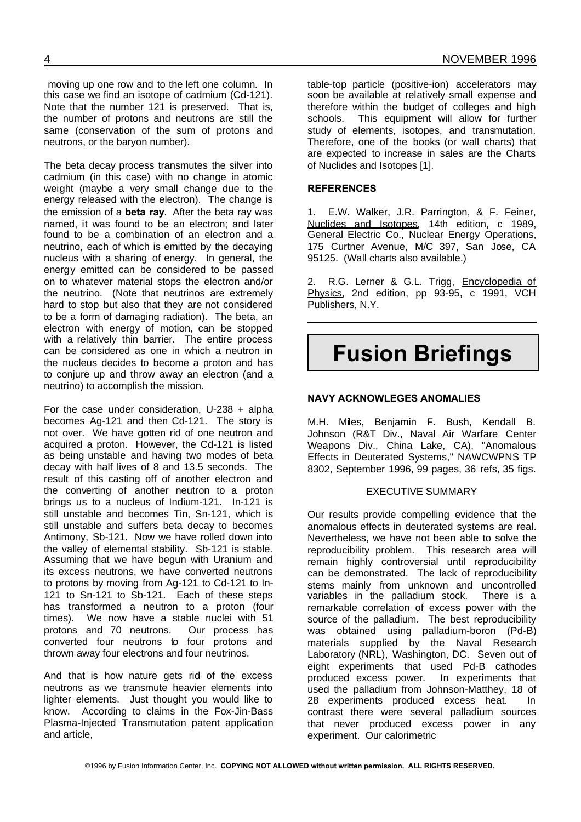moving up one row and to the left one column. In this case we find an isotope of cadmium (Cd-121). Note that the number 121 is preserved. That is, the number of protons and neutrons are still the same (conservation of the sum of protons and neutrons, or the baryon number).

The beta decay process transmutes the silver into cadmium (in this case) with no change in atomic weight (maybe a very small change due to the energy released with the electron). The change is the emission of a **beta ray**. After the beta ray was named, it was found to be an electron; and later found to be a combination of an electron and a neutrino, each of which is emitted by the decaying nucleus with a sharing of energy. In general, the energy emitted can be considered to be passed on to whatever material stops the electron and/or the neutrino. (Note that neutrinos are extremely hard to stop but also that they are not considered to be a form of damaging radiation). The beta, an electron with energy of motion, can be stopped with a relatively thin barrier. The entire process can be considered as one in which a neutron in the nucleus decides to become a proton and has to conjure up and throw away an electron (and a neutrino) to accomplish the mission.

For the case under consideration, U-238 + alpha becomes Ag-121 and then Cd-121. The story is not over. We have gotten rid of one neutron and acquired a proton. However, the Cd-121 is listed as being unstable and having two modes of beta decay with half lives of 8 and 13.5 seconds. The result of this casting off of another electron and the converting of another neutron to a proton brings us to a nucleus of Indium-121. In-121 is still unstable and becomes Tin, Sn-121, which is still unstable and suffers beta decay to becomes Antimony, Sb-121. Now we have rolled down into the valley of elemental stability. Sb-121 is stable. Assuming that we have begun with Uranium and its excess neutrons, we have converted neutrons to protons by moving from Ag-121 to Cd-121 to In-121 to Sn-121 to Sb-121. Each of these steps has transformed a neutron to a proton (four times). We now have a stable nuclei with 51 protons and 70 neutrons. Our process has converted four neutrons to four protons and thrown away four electrons and four neutrinos.

And that is how nature gets rid of the excess neutrons as we transmute heavier elements into lighter elements. Just thought you would like to know. According to claims in the Fox-Jin-Bass Plasma-Injected Transmutation patent application and article,

table-top particle (positive-ion) accelerators may soon be available at relatively small expense and therefore within the budget of colleges and high schools. This equipment will allow for further study of elements, isotopes, and transmutation. Therefore, one of the books (or wall charts) that are expected to increase in sales are the Charts of Nuclides and Isotopes [1].

#### **REFERENCES**

1. E.W. Walker, J.R. Parrington, & F. Feiner, Nuclides and Isotopes, 14th edition, c 1989, General Electric Co., Nuclear Energy Operations, 175 Curtner Avenue, M/C 397, San Jose, CA 95125. (Wall charts also available.)

2. R.G. Lerner & G.L. Trigg, Encyclopedia of Physics, 2nd edition, pp 93-95, c 1991, VCH Publishers, N.Y.

### **Fusion Briefings**

#### **NAVY ACKNOWLEGES ANOMALIES**

M.H. Miles, Benjamin F. Bush, Kendall B. Johnson (R&T Div., Naval Air Warfare Center Weapons Div., China Lake, CA), "Anomalous Effects in Deuterated Systems," NAWCWPNS TP 8302, September 1996, 99 pages, 36 refs, 35 figs.

#### EXECUTIVE SUMMARY

Our results provide compelling evidence that the anomalous effects in deuterated systems are real. Nevertheless, we have not been able to solve the reproducibility problem. This research area will remain highly controversial until reproducibility can be demonstrated. The lack of reproducibility stems mainly from unknown and uncontrolled variables in the palladium stock. There is a remarkable correlation of excess power with the source of the palladium. The best reproducibility was obtained using palladium-boron (Pd-B) materials supplied by the Naval Research Laboratory (NRL), Washington, DC. Seven out of eight experiments that used Pd-B cathodes produced excess power. In experiments that used the palladium from Johnson-Matthey, 18 of 28 experiments produced excess heat. In contrast there were several palladium sources that never produced excess power in any experiment. Our calorimetric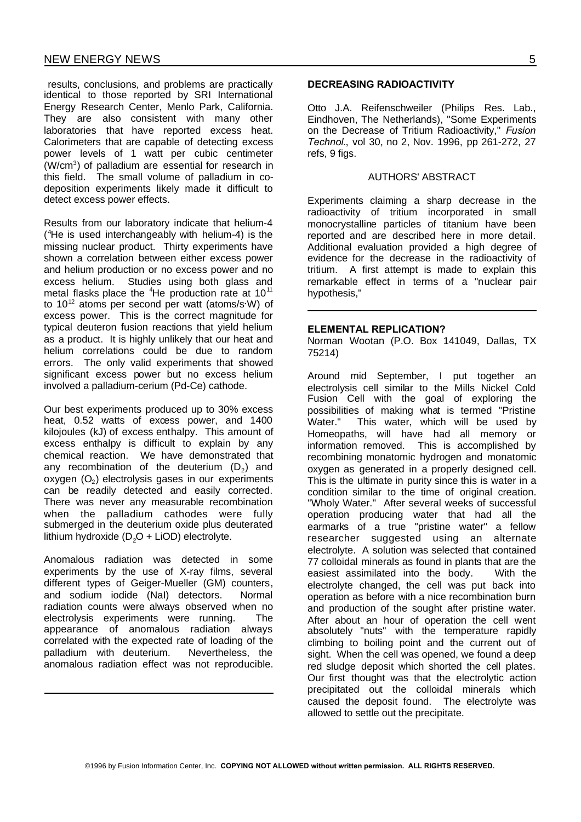results, conclusions, and problems are practically identical to those reported by SRI International Energy Research Center, Menlo Park, California. They are also consistent with many other laboratories that have reported excess heat. Calorimeters that are capable of detecting excess power levels of 1 watt per cubic centimeter (W/cm<sup>3</sup>) of palladium are essential for research in this field. The small volume of palladium in codeposition experiments likely made it difficult to detect excess power effects.

Results from our laboratory indicate that helium-4 ( <sup>4</sup>He is used interchangeably with helium-4) is the missing nuclear product. Thirty experiments have shown a correlation between either excess power and helium production or no excess power and no excess helium. Studies using both glass and metal flasks place the  $4$ He production rate at  $10^{11}$ to  $10^{12}$  atoms per second per watt (atoms/s $W$ ) of excess power. This is the correct magnitude for typical deuteron fusion reactions that yield helium as a product. It is highly unlikely that our heat and helium correlations could be due to random errors. The only valid experiments that showed significant excess power but no excess helium involved a palladium-cerium (Pd-Ce) cathode.

Our best experiments produced up to 30% excess heat, 0.52 watts of excess power, and 1400 kilojoules (kJ) of excess enthalpy. This amount of excess enthalpy is difficult to explain by any chemical reaction. We have demonstrated that any recombination of the deuterium  $(D_2)$  and oxygen  $(O_2)$  electrolysis gases in our experiments can be readily detected and easily corrected. There was never any measurable recombination when the palladium cathodes were fully submerged in the deuterium oxide plus deuterated lithium hydroxide  $(D<sub>2</sub>O + LiOD)$  electrolyte.

Anomalous radiation was detected in some experiments by the use of X-ray films, several different types of Geiger-Mueller (GM) counters, and sodium iodide (NaI) detectors. Normal radiation counts were always observed when no electrolysis experiments were running. The appearance of anomalous radiation always correlated with the expected rate of loading of the palladium with deuterium. Nevertheless, the anomalous radiation effect was not reproducible.

#### **DECREASING RADIOACTIVITY**

Otto J.A. Reifenschweiler (Philips Res. Lab., Eindhoven, The Netherlands), "Some Experiments on the Decrease of Tritium Radioactivity," *Fusion Technol.*, vol 30, no 2, Nov. 1996, pp 261-272, 27 refs, 9 figs.

#### AUTHORS' ABSTRACT

Experiments claiming a sharp decrease in the radioactivity of tritium incorporated in small monocrystalline particles of titanium have been reported and are described here in more detail. Additional evaluation provided a high degree of evidence for the decrease in the radioactivity of tritium. A first attempt is made to explain this remarkable effect in terms of a "nuclear pair hypothesis,"

#### **ELEMENTAL REPLICATION?**

Norman Wootan (P.O. Box 141049, Dallas, TX 75214)

Around mid September, I put together an electrolysis cell similar to the Mills Nickel Cold Fusion Cell with the goal of exploring the possibilities of making what is termed "Pristine Water." This water, which will be used by Homeopaths, will have had all memory or information removed. This is accomplished by recombining monatomic hydrogen and monatomic oxygen as generated in a properly designed cell. This is the ultimate in purity since this is water in a condition similar to the time of original creation. "Wholy Water." After several weeks of successful operation producing water that had all the earmarks of a true "pristine water" a fellow researcher suggested using an alternate electrolyte. A solution was selected that contained 77 colloidal minerals as found in plants that are the easiest assimilated into the body. With the electrolyte changed, the cell was put back into operation as before with a nice recombination burn and production of the sought after pristine water. After about an hour of operation the cell went absolutely "nuts" with the temperature rapidly climbing to boiling point and the current out of sight. When the cell was opened, we found a deep red sludge deposit which shorted the cell plates. Our first thought was that the electrolytic action precipitated out the colloidal minerals which caused the deposit found. The electrolyte was allowed to settle out the precipitate.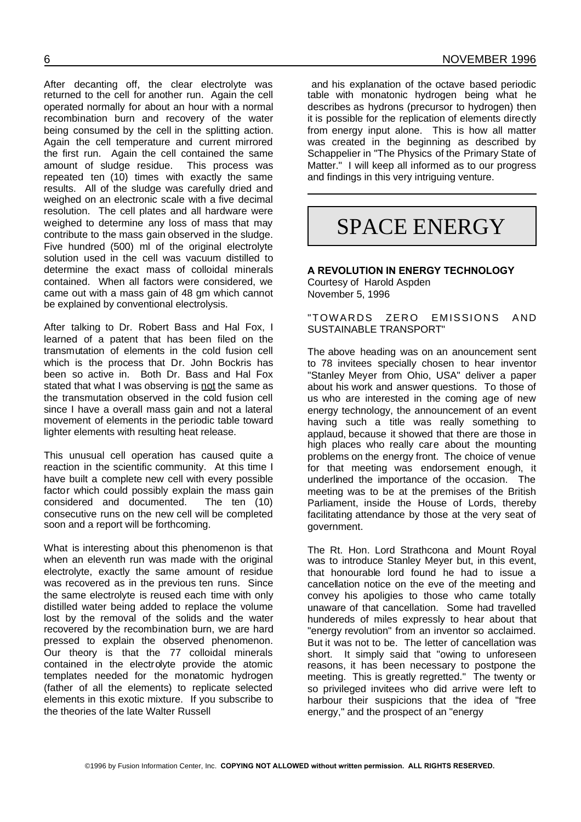After decanting off, the clear electrolyte was returned to the cell for another run. Again the cell operated normally for about an hour with a normal recombination burn and recovery of the water

being consumed by the cell in the splitting action. Again the cell temperature and current mirrored the first run. Again the cell contained the same amount of sludge residue. This process was repeated ten (10) times with exactly the same results. All of the sludge was carefully dried and weighed on an electronic scale with a five decimal resolution. The cell plates and all hardware were weighed to determine any loss of mass that may contribute to the mass gain observed in the sludge. Five hundred (500) ml of the original electrolyte solution used in the cell was vacuum distilled to determine the exact mass of colloidal minerals contained. When all factors were considered, we came out with a mass gain of 48 gm which cannot be explained by conventional electrolysis.

After talking to Dr. Robert Bass and Hal Fox, I learned of a patent that has been filed on the transmutation of elements in the cold fusion cell which is the process that Dr. John Bockris has been so active in. Both Dr. Bass and Hal Fox stated that what I was observing is not the same as the transmutation observed in the cold fusion cell since I have a overall mass gain and not a lateral movement of elements in the periodic table toward lighter elements with resulting heat release.

This unusual cell operation has caused quite a reaction in the scientific community. At this time I have built a complete new cell with every possible factor which could possibly explain the mass gain considered and documented. The ten (10) consecutive runs on the new cell will be completed soon and a report will be forthcoming.

What is interesting about this phenomenon is that when an eleventh run was made with the original electrolyte, exactly the same amount of residue was recovered as in the previous ten runs. Since the same electrolyte is reused each time with only distilled water being added to replace the volume lost by the removal of the solids and the water recovered by the recombination burn, we are hard pressed to explain the observed phenomenon. Our theory is that the 77 colloidal minerals contained in the electrolyte provide the atomic templates needed for the monatomic hydrogen (father of all the elements) to replicate selected elements in this exotic mixture. If you subscribe to the theories of the late Walter Russell

and his explanation of the octave based periodic table with monatonic hydrogen being what he describes as hydrons (precursor to hydrogen) then it is possible for the replication of elements directly from energy input alone. This is how all matter was created in the beginning as described by Schappelier in "The Physics of the Primary State of Matter." I will keep all informed as to our progress and findings in this very intriguing venture.

## SPACE ENERGY

**A REVOLUTION IN ENERGY TECHNOLOGY** Courtesy of Harold Aspden November 5, 1996

"TOWARDS ZERO EMISSIONS AND SUSTAINABLE TRANSPORT"

The above heading was on an anouncement sent to 78 invitees specially chosen to hear inventor "Stanley Meyer from Ohio, USA" deliver a paper about his work and answer questions. To those of us who are interested in the coming age of new energy technology, the announcement of an event having such a title was really something to applaud, because it showed that there are those in high places who really care about the mounting problems on the energy front. The choice of venue for that meeting was endorsement enough, it underlined the importance of the occasion. The meeting was to be at the premises of the British Parliament, inside the House of Lords, thereby facilitating attendance by those at the very seat of government.

The Rt. Hon. Lord Strathcona and Mount Royal was to introduce Stanley Meyer but, in this event, that honourable lord found he had to issue a cancellation notice on the eve of the meeting and convey his apoligies to those who came totally unaware of that cancellation. Some had travelled hundereds of miles expressly to hear about that "energy revolution" from an inventor so acclaimed. But it was not to be. The letter of cancellation was short. It simply said that "owing to unforeseen reasons, it has been necessary to postpone the meeting. This is greatly regretted." The twenty or so privileged invitees who did arrive were left to harbour their suspicions that the idea of "free energy," and the prospect of an "energy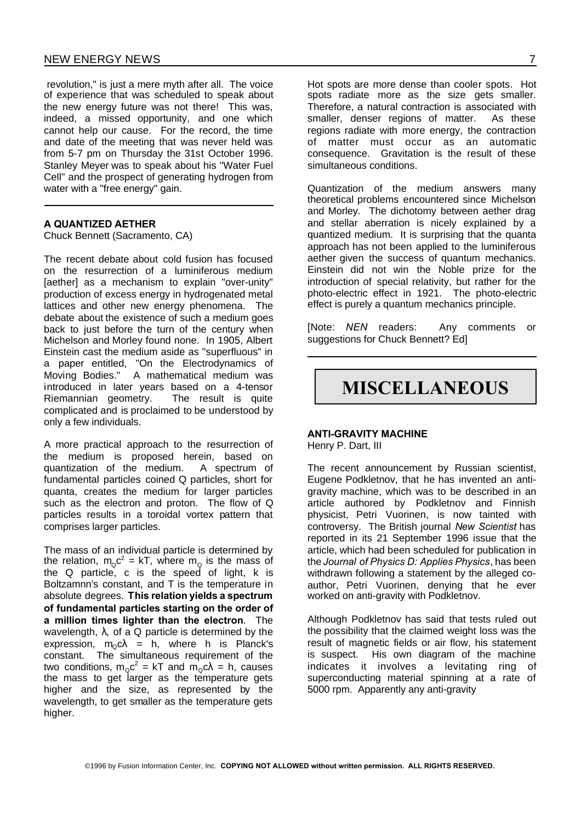revolution," is just a mere myth after all. The voice of experience that was scheduled to speak about the new energy future was not there! This was, indeed, a missed opportunity, and one which cannot help our cause. For the record, the time and date of the meeting that was never held was from 5-7 pm on Thursday the 31st October 1996. Stanley Meyer was to speak about his "Water Fuel Cell" and the prospect of generating hydrogen from water with a "free energy" gain.

#### **A QUANTIZED AETHER**

Chuck Bennett (Sacramento, CA)

The recent debate about cold fusion has focused on the resurrection of a luminiferous medium [aether] as a mechanism to explain "over-unity" production of excess energy in hydrogenated metal lattices and other new energy phenomena. The debate about the existence of such a medium goes back to just before the turn of the century when Michelson and Morley found none. In 1905, Albert Einstein cast the medium aside as "superfluous" in a paper entitled, "On the Electrodynamics of Moving Bodies." A mathematical medium was introduced in later years based on a 4-tensor Riemannian geometry. The result is quite complicated and is proclaimed to be understood by only a few individuals.

A more practical approach to the resurrection of the medium is proposed herein, based on quantization of the medium. A spectrum of fundamental particles coined Q particles, short for quanta, creates the medium for larger particles such as the electron and proton. The flow of Q particles results in a toroidal vortex pattern that comprises larger particles.

The mass of an individual particle is determined by the relation,  $m_{\alpha}c^2$  = kT, where  $m_{\alpha}$  is the mass of the Q particle, c is the speed of light, k is Boltzamnn's constant, and T is the temperature in absolute degrees. **This relation yields a spectrum of fundamental particles starting on the order of a million times lighter than the electron**. The wavelength,  $\lambda$ , of a Q particle is determined by the expression,  $m_0 c \lambda = h$ , where h is Planck's constant. The simultaneous requirement of the two conditions,  $m_{\alpha} c^2 = kT$  and  $m_{\alpha} c\lambda = h$ , causes the mass to get larger as the temperature gets higher and the size, as represented by the wavelength, to get smaller as the temperature gets higher.

Hot spots are more dense than cooler spots. Hot spots radiate more as the size gets smaller. Therefore, a natural contraction is associated with smaller, denser regions of matter. As these regions radiate with more energy, the contraction of matter must occur as an automatic consequence. Gravitation is the result of these simultaneous conditions.

Quantization of the medium answers many theoretical problems encountered since Michelson and Morley. The dichotomy between aether drag and stellar aberration is nicely explained by a quantized medium. It is surprising that the quanta approach has not been applied to the luminiferous aether given the success of quantum mechanics. Einstein did not win the Noble prize for the introduction of special relativity, but rather for the photo-electric effect in 1921. The photo-electric effect is purely a quantum mechanics principle.

[Note: *NEN* readers: Any comments or suggestions for Chuck Bennett? Ed]

### **MISCELLANEOUS**

#### **ANTI-GRAVITY MACHINE** Henry P. Dart, III

The recent announcement by Russian scientist, Eugene Podkletnov, that he has invented an antigravity machine, which was to be described in an article authored by Podkletnov and Finnish physicist, Petri Vuorinen, is now tainted with controversy. The British journal *New Scientist* has reported in its 21 September 1996 issue that the article, which had been scheduled for publication in the *Journal of Physics D: Applies Physics*, has been withdrawn following a statement by the alleged coauthor, Petri Vuorinen, denying that he ever worked on anti-gravity with Podkletnov.

Although Podkletnov has said that tests ruled out the possibility that the claimed weight loss was the result of magnetic fields or air flow, his statement is suspect. His own diagram of the machine indicates it involves a levitating ring of superconducting material spinning at a rate of 5000 rpm. Apparently any anti-gravity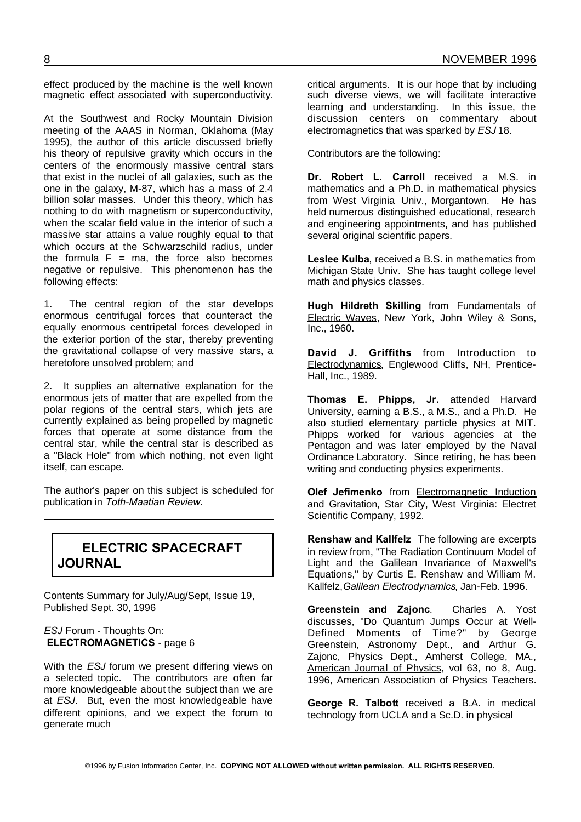effect produced by the machine is the well known magnetic effect associated with superconductivity.

At the Southwest and Rocky Mountain Division meeting of the AAAS in Norman, Oklahoma (May 1995), the author of this article discussed briefly his theory of repulsive gravity which occurs in the centers of the enormously massive central stars that exist in the nuclei of all galaxies, such as the one in the galaxy, M-87, which has a mass of 2.4 billion solar masses. Under this theory, which has nothing to do with magnetism or superconductivity, when the scalar field value in the interior of such a massive star attains a value roughly equal to that which occurs at the Schwarzschild radius, under the formula  $F = ma$ , the force also becomes negative or repulsive. This phenomenon has the following effects:

1. The central region of the star develops enormous centrifugal forces that counteract the equally enormous centripetal forces developed in the exterior portion of the star, thereby preventing the gravitational collapse of very massive stars, a heretofore unsolved problem; and

2. It supplies an alternative explanation for the enormous jets of matter that are expelled from the polar regions of the central stars, which jets are currently explained as being propelled by magnetic forces that operate at some distance from the central star, while the central star is described as a "Black Hole" from which nothing, not even light itself, can escape.

The author's paper on this subject is scheduled for publication in *Toth-Maatian Review*.

### **ELECTRIC SPACECRAFT JOURNAL**

Contents Summary for July/Aug/Sept, Issue 19, Published Sept. 30, 1996

#### *ESJ* Forum - Thoughts On: **ELECTROMAGNETICS** - page 6

With the *ESJ* forum we present differing views on a selected topic. The contributors are often far more knowledgeable about the subject than we are at *ESJ*. But, even the most knowledgeable have different opinions, and we expect the forum to generate much

critical arguments. It is our hope that by including such diverse views, we will facilitate interactive learning and understanding. In this issue, the discussion centers on commentary about electromagnetics that was sparked by *ESJ* 18.

Contributors are the following:

**Dr. Robert L. Carroll** received a M.S. in mathematics and a Ph.D. in mathematical physics from West Virginia Univ., Morgantown. He has held numerous distinguished educational, research and engineering appointments, and has published several original scientific papers.

**Leslee Kulba**, received a B.S. in mathematics from Michigan State Univ. She has taught college level math and physics classes.

**Hugh Hildreth Skilling** from Fundamentals of Electric Waves, New York, John Wiley & Sons, Inc., 1960.

**David J. Griffiths** from Introduction to Electrodynamics, Englewood Cliffs, NH, Prentice-Hall, Inc., 1989.

**Thomas E. Phipps, Jr.** attended Harvard University, earning a B.S., a M.S., and a Ph.D. He also studied elementary particle physics at MIT. Phipps worked for various agencies at the Pentagon and was later employed by the Naval Ordinance Laboratory. Since retiring, he has been writing and conducting physics experiments.

**Olef Jefimenko** from Electromagnetic Induction and Gravitation, Star City, West Virginia: Electret Scientific Company, 1992.

**Renshaw and Kallfelz** The following are excerpts in review from, "The Radiation Continuum Model of Light and the Galilean Invariance of Maxwell's Equations," by Curtis E. Renshaw and William M. Kallfelz,*Galilean Electrodynamics*, Jan-Feb. 1996.

**Greenstein and Zajonc**. Charles A. Yost discusses, "Do Quantum Jumps Occur at Well-Defined Moments of Time?" by George Greenstein, Astronomy Dept., and Arthur G. Zajonc, Physics Dept., Amherst College, MA., American Journal of Physics, vol 63, no 8, Aug. 1996, American Association of Physics Teachers.

**George R. Talbott** received a B.A. in medical technology from UCLA and a Sc.D. in physical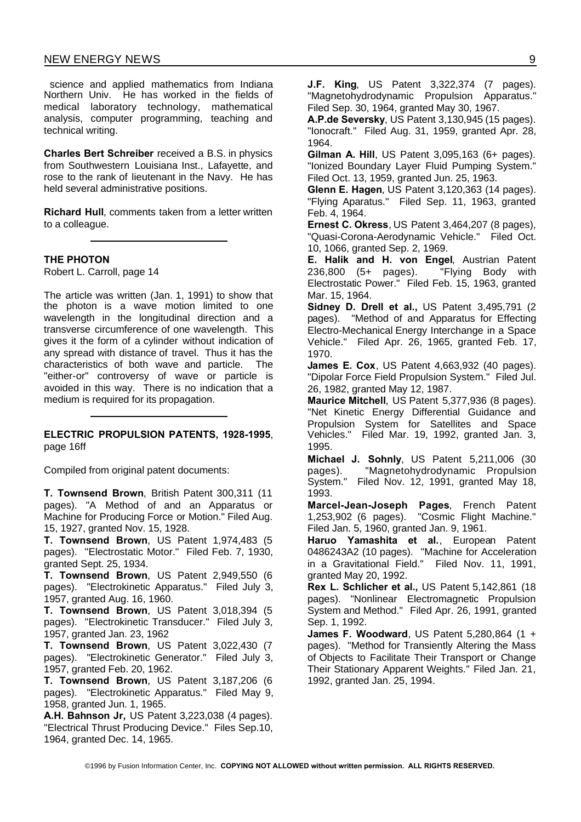science and applied mathematics from Indiana Northern Univ. He has worked in the fields of medical laboratory technology, mathematical analysis, computer programming, teaching and technical writing.

**Charles Bert Schreiber** received a B.S. in physics from Southwestern Louisiana Inst., Lafayette, and rose to the rank of lieutenant in the Navy. He has held several administrative positions.

**Richard Hull**, comments taken from a letter written to a colleague.

**THE PHOTON**

Robert L. Carroll, page 14

The article was written (Jan. 1, 1991) to show that the photon is a wave motion limited to one wavelength in the longitudinal direction and a transverse circumference of one wavelength. This gives it the form of a cylinder without indication of any spread with distance of travel. Thus it has the characteristics of both wave and particle. The "either-or" controversy of wave or particle is avoided in this way. There is no indication that a medium is required for its propagation.

#### **ELECTRIC PROPULSION PATENTS, 1928-1995**, page 16ff

Compiled from original patent documents:

**T. Townsend Brown**, British Patent 300,311 (11 pages). "A Method of and an Apparatus or Machine for Producing Force or Motion." Filed Aug. 15, 1927, granted Nov. 15, 1928.

**T. Townsend Brown**, US Patent 1,974,483 (5 pages). "Electrostatic Motor." Filed Feb. 7, 1930, granted Sept. 25, 1934.

**T. Townsend Brown**, US Patent 2,949,550 (6 pages). "Electrokinetic Apparatus." Filed July 3, 1957, granted Aug. 16, 1960.

**T. Townsend Brown**, US Patent 3,018,394 (5 pages). "Electrokinetic Transducer." Filed July 3, 1957, granted Jan. 23, 1962

**T. Townsend Brown**, US Patent 3,022,430 (7 pages). "Electrokinetic Generator." Filed July 3, 1957, granted Feb. 20, 1962.

**T. Townsend Brown**, US Patent 3,187,206 (6 pages). "Electrokinetic Apparatus." Filed May 9, 1958, granted Jun. 1, 1965.

**A.H. Bahnson Jr,** US Patent 3,223,038 (4 pages). "Electrical Thrust Producing Device." Files Sep.10, 1964, granted Dec. 14, 1965.

**J.F. King**, US Patent 3,322,374 (7 pages). "Magnetohydrodynamic Propulsion Apparatus." Filed Sep. 30, 1964, granted May 30, 1967.

**A.P.de Seversky**, US Patent 3,130,945 (15 pages). "Ionocraft." Filed Aug. 31, 1959, granted Apr. 28, 1964.

**Gilman A. Hill**, US Patent 3,095,163 (6+ pages). "Ionized Boundary Layer Fluid Pumping System." Filed Oct. 13, 1959, granted Jun. 25, 1963.

**Glenn E. Hagen**, US Patent 3,120,363 (14 pages). "Flying Aparatus." Filed Sep. 11, 1963, granted Feb. 4, 1964.

**Ernest C. Okress**, US Patent 3,464,207 (8 pages), "Quasi-Corona-Aerodynamic Vehicle." Filed Oct. 10, 1066, granted Sep. 2, 1969.

**E. Halik and H. von Engel**, Austrian Patent 236,800 (5+ pages). "Flying Body with Electrostatic Power." Filed Feb. 15, 1963, granted Mar. 15, 1964.

**Sidney D. Drell et al.,** US Patent 3,495,791 (2 pages). "Method of and Apparatus for Effecting Electro-Mechanical Energy Interchange in a Space Vehicle." Filed Apr. 26, 1965, granted Feb. 17, 1970.

**James E. Cox**, US Patent 4,663,932 (40 pages). "Dipolar Force Field Propulsion System." Filed Jul. 26, 1982, granted May 12, 1987.

**Maurice Mitchell**, US Patent 5,377,936 (8 pages). "Net Kinetic Energy Differential Guidance and Propulsion System for Satellites and Space Vehicles." Filed Mar. 19, 1992, granted Jan. 3, 1995.

**Michael J. Sohnly**, US Patent 5,211,006 (30 pages). "Magnetohydrodynamic Propulsion System." Filed Nov. 12, 1991, granted May 18, 1993.

**Marcel-Jean-Joseph Pages**, French Patent 1,253,902 (6 pages). "Cosmic Flight Machine." Filed Jan. 5, 1960, granted Jan. 9, 1961.

**Haruo Yamashita et al.**, European Patent 0486243A2 (10 pages). "Machine for Acceleration in a Gravitational Field." Filed Nov. 11, 1991, granted May 20, 1992.

**Rex L. Schlicher et al.,** US Patent 5,142,861 (18 pages). "Nonlinear Electromagnetic Propulsion System and Method." Filed Apr. 26, 1991, granted Sep. 1, 1992.

**James F. Woodward**, US Patent 5,280,864 (1 + pages). "Method for Transiently Altering the Mass of Objects to Facilitate Their Transport or Change Their Stationary Apparent Weights." Filed Jan. 21, 1992, granted Jan. 25, 1994.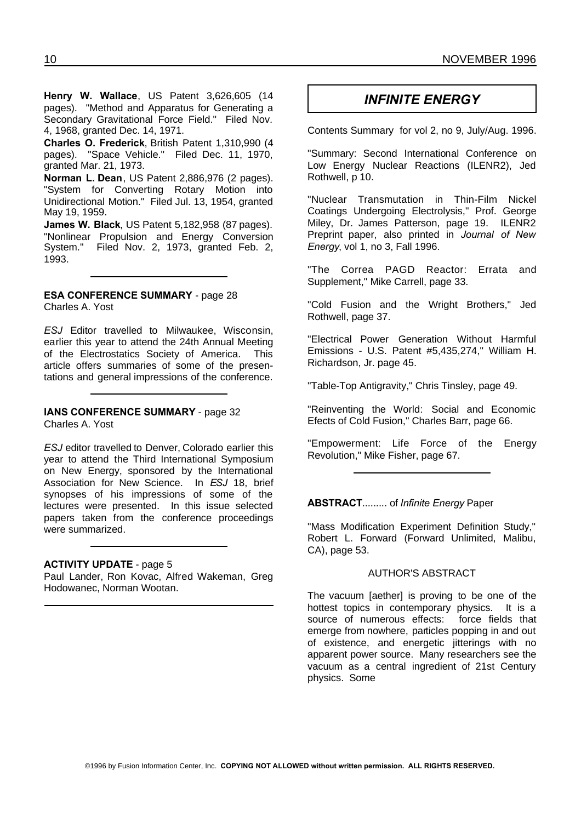*INFINITE ENERGY* **Henry W. Wallace**, US Patent 3,626,605 (14 pages). "Method and Apparatus for Generating a Secondary Gravitational Force Field." Filed Nov. 4, 1968, granted Dec. 14, 1971.

**Charles O. Frederick**, British Patent 1,310,990 (4 pages). "Space Vehicle." Filed Dec. 11, 1970, granted Mar. 21, 1973.

**Norman L. Dean**, US Patent 2,886,976 (2 pages). "System for Converting Rotary Motion into Unidirectional Motion." Filed Jul. 13, 1954, granted May 19, 1959.

**James W. Black**, US Patent 5,182,958 (87 pages). "Nonlinear Propulsion and Energy Conversion System." Filed Nov. 2, 1973, granted Feb. 2, 1993.

#### **ESA CONFERENCE SUMMARY** - page 28 Charles A. Yost

*ESJ* Editor travelled to Milwaukee, Wisconsin, earlier this year to attend the 24th Annual Meeting of the Electrostatics Society of America. This article offers summaries of some of the presentations and general impressions of the conference.

#### **IANS CONFERENCE SUMMARY** - page 32 Charles A. Yost

*ESJ* editor travelled to Denver, Colorado earlier this year to attend the Third International Symposium on New Energy, sponsored by the International Association for New Science. In *ESJ* 18, brief synopses of his impressions of some of the lectures were presented. In this issue selected papers taken from the conference proceedings were summarized.

#### **ACTIVITY UPDATE** - page 5

Paul Lander, Ron Kovac, Alfred Wakeman, Greg Hodowanec, Norman Wootan.

Contents Summary for vol 2, no 9, July/Aug. 1996.

"Summary: Second International Conference on Low Energy Nuclear Reactions (ILENR2), Jed Rothwell, p 10.

"Nuclear Transmutation in Thin-Film Nickel Coatings Undergoing Electrolysis," Prof. George Miley, Dr. James Patterson, page 19. ILENR2 Preprint paper, also printed in *Journal of New Energy*, vol 1, no 3, Fall 1996.

"The Correa PAGD Reactor: Errata and Supplement," Mike Carrell, page 33.

"Cold Fusion and the Wright Brothers," Jed Rothwell, page 37.

"Electrical Power Generation Without Harmful Emissions - U.S. Patent #5,435,274," William H. Richardson, Jr. page 45.

"Table-Top Antigravity," Chris Tinsley, page 49.

"Reinventing the World: Social and Economic Efects of Cold Fusion," Charles Barr, page 66.

"Empowerment: Life Force of the Energy Revolution," Mike Fisher, page 67.

#### **ABSTRACT**......... of *Infinite Energy* Paper

"Mass Modification Experiment Definition Study," Robert L. Forward (Forward Unlimited, Malibu, CA), page 53.

#### AUTHOR'S ABSTRACT

The vacuum [aether] is proving to be one of the hottest topics in contemporary physics. It is a source of numerous effects: force fields that emerge from nowhere, particles popping in and out of existence, and energetic jitterings with no apparent power source. Many researchers see the vacuum as a central ingredient of 21st Century physics. Some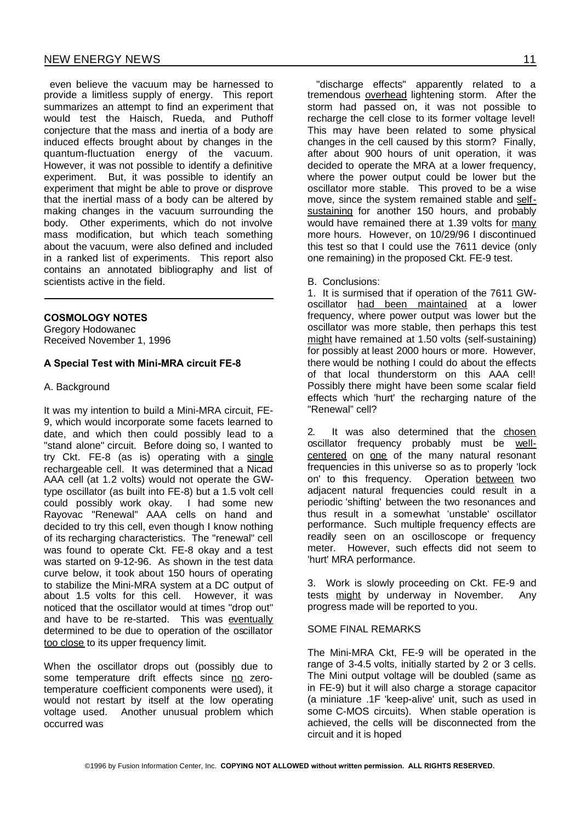even believe the vacuum may be harnessed to provide a limitless supply of energy. This report summarizes an attempt to find an experiment that would test the Haisch, Rueda, and Puthoff conjecture that the mass and inertia of a body are induced effects brought about by changes in the quantum-fluctuation energy of the vacuum. However, it was not possible to identify a definitive experiment. But, it was possible to identify an experiment that might be able to prove or disprove that the inertial mass of a body can be altered by making changes in the vacuum surrounding the body. Other experiments, which do not involve mass modification, but which teach something about the vacuum, were also defined and included in a ranked list of experiments. This report also contains an annotated bibliography and list of scientists active in the field.

#### **COSMOLOGY NOTES**

Gregory Hodowanec Received November 1, 1996

#### **A Special Test with Mini-MRA circuit FE-8**

#### A. Background

It was my intention to build a Mini-MRA circuit, FE-9, which would incorporate some facets learned to date, and which then could possibly lead to a "stand alone" circuit. Before doing so, I wanted to try Ckt. FE-8 (as is) operating with a single rechargeable cell. It was determined that a Nicad AAA cell (at 1.2 volts) would not operate the GWtype oscillator (as built into FE-8) but a 1.5 volt cell could possibly work okay. I had some new Rayovac "Renewal" AAA cells on hand and decided to try this cell, even though I know nothing of its recharging characteristics. The "renewal" cell was found to operate Ckt. FE-8 okay and a test was started on 9-12-96. As shown in the test data curve below, it took about 150 hours of operating to stabilize the Mini-MRA system at a DC output of about 1.5 volts for this cell. However, it was noticed that the oscillator would at times "drop out" and have to be re-started. This was eventually determined to be due to operation of the oscillator too close to its upper frequency limit.

When the oscillator drops out (possibly due to some temperature drift effects since no zerotemperature coefficient components were used), it would not restart by itself at the low operating voltage used. Another unusual problem which occurred was

"discharge effects" apparently related to a tremendous overhead lightening storm. After the storm had passed on, it was not possible to recharge the cell close to its former voltage level! This may have been related to some physical changes in the cell caused by this storm? Finally, after about 900 hours of unit operation, it was decided to operate the MRA at a lower frequency, where the power output could be lower but the oscillator more stable. This proved to be a wise move, since the system remained stable and selfsustaining for another 150 hours, and probably would have remained there at 1.39 volts for many more hours. However, on 10/29/96 I discontinued this test so that I could use the 7611 device (only one remaining) in the proposed Ckt. FE-9 test.

B. Conclusions:

1. It is surmised that if operation of the 7611 GWoscillator had been maintained at a lower frequency, where power output was lower but the oscillator was more stable, then perhaps this test might have remained at 1.50 volts (self-sustaining) for possibly at least 2000 hours or more. However, there would be nothing I could do about the effects of that local thunderstorm on this AAA cell! Possibly there might have been some scalar field effects which 'hurt' the recharging nature of the "Renewal" cell?

2. It was also determined that the chosen oscillator frequency probably must be wellcentered on one of the many natural resonant frequencies in this universe so as to properly 'lock on' to this frequency. Operation between two adjacent natural frequencies could result in a periodic 'shifting' between the two resonances and thus result in a somewhat 'unstable' oscillator performance. Such multiple frequency effects are readily seen on an oscilloscope or frequency meter. However, such effects did not seem to 'hurt' MRA performance.

3. Work is slowly proceeding on Ckt. FE-9 and tests might by underway in November. Any progress made will be reported to you.

#### SOME FINAL REMARKS

The Mini-MRA Ckt, FE-9 will be operated in the range of 3-4.5 volts, initially started by 2 or 3 cells. The Mini output voltage will be doubled (same as in FE-9) but it will also charge a storage capacitor (a miniature .1F 'keep-alive' unit, such as used in some C-MOS circuits). When stable operation is achieved, the cells will be disconnected from the circuit and it is hoped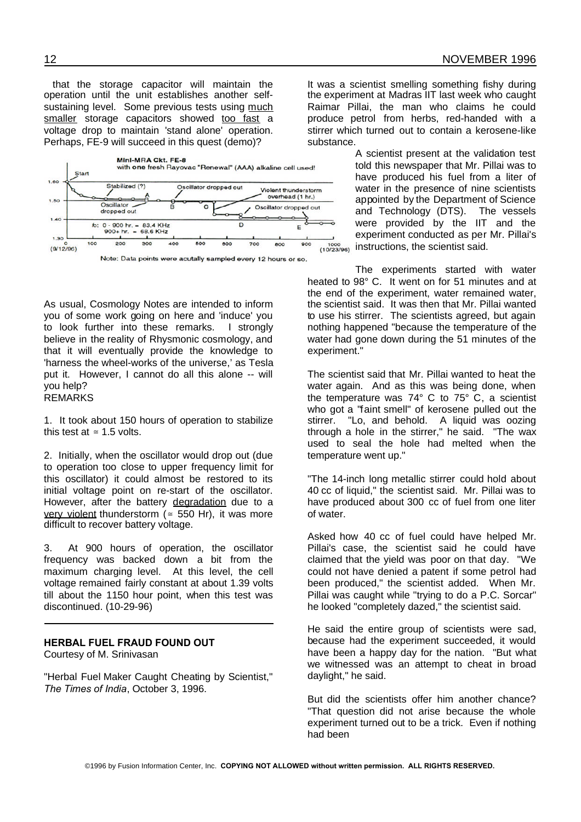that the storage capacitor will maintain the operation until the unit establishes another selfsustaining level. Some previous tests using much smaller storage capacitors showed too fast a voltage drop to maintain 'stand alone' operation. Perhaps, FE-9 will succeed in this quest (demo)?



Note: Data points were acutally sampled every 12 hours or so.

As usual, Cosmology Notes are intended to inform you of some work going on here and 'induce' you to look further into these remarks. I strongly believe in the reality of Rhysmonic cosmology, and that it will eventually provide the knowledge to 'harness the wheel-works of the universe,' as Tesla put it. However, I cannot do all this alone -- will you help? REMARKS

1. It took about 150 hours of operation to stabilize this test at  $\approx$  1.5 volts.

2. Initially, when the oscillator would drop out (due to operation too close to upper frequency limit for this oscillator) it could almost be restored to its initial voltage point on re-start of the oscillator. However, after the battery degradation due to a very violent thunderstorm ( $\approx$  550 Hr), it was more difficult to recover battery voltage.

3. At 900 hours of operation, the oscillator frequency was backed down a bit from the maximum charging level. At this level, the cell voltage remained fairly constant at about 1.39 volts till about the 1150 hour point, when this test was discontinued. (10-29-96)

#### **HERBAL FUEL FRAUD FOUND OUT**

Courtesy of M. Srinivasan

"Herbal Fuel Maker Caught Cheating by Scientist," *The Times of India*, October 3, 1996.

It was a scientist smelling something fishy during the experiment at Madras IIT last week who caught Raimar Pillai, the man who claims he could produce petrol from herbs, red-handed with a stirrer which turned out to contain a kerosene-like substance.

> A scientist present at the validation test told this newspaper that Mr. Pillai was to have produced his fuel from a liter of water in the presence of nine scientists appointed by the Department of Science and Technology (DTS). The vessels were provided by the IIT and the experiment conducted as per Mr. Pillai's instructions, the scientist said.

The experiments started with water heated to 98° C. It went on for 51 minutes and at the end of the experiment, water remained water, the scientist said. It was then that Mr. Pillai wanted to use his stirrer. The scientists agreed, but again nothing happened "because the temperature of the water had gone down during the 51 minutes of the experiment."

The scientist said that Mr. Pillai wanted to heat the water again. And as this was being done, when the temperature was 74° C to 75° C, a scientist who got a "faint smell" of kerosene pulled out the stirrer. "Lo, and behold. A liquid was oozing through a hole in the stirrer," he said. "The wax used to seal the hole had melted when the temperature went up."

"The 14-inch long metallic stirrer could hold about 40 cc of liquid," the scientist said. Mr. Pillai was to have produced about 300 cc of fuel from one liter of water.

Asked how 40 cc of fuel could have helped Mr. Pillai's case, the scientist said he could have claimed that the yield was poor on that day. "We could not have denied a patent if some petrol had been produced," the scientist added. When Mr. Pillai was caught while "trying to do a P.C. Sorcar" he looked "completely dazed," the scientist said.

He said the entire group of scientists were sad, because had the experiment succeeded, it would have been a happy day for the nation. "But what we witnessed was an attempt to cheat in broad daylight," he said.

But did the scientists offer him another chance? "That question did not arise because the whole experiment turned out to be a trick. Even if nothing had been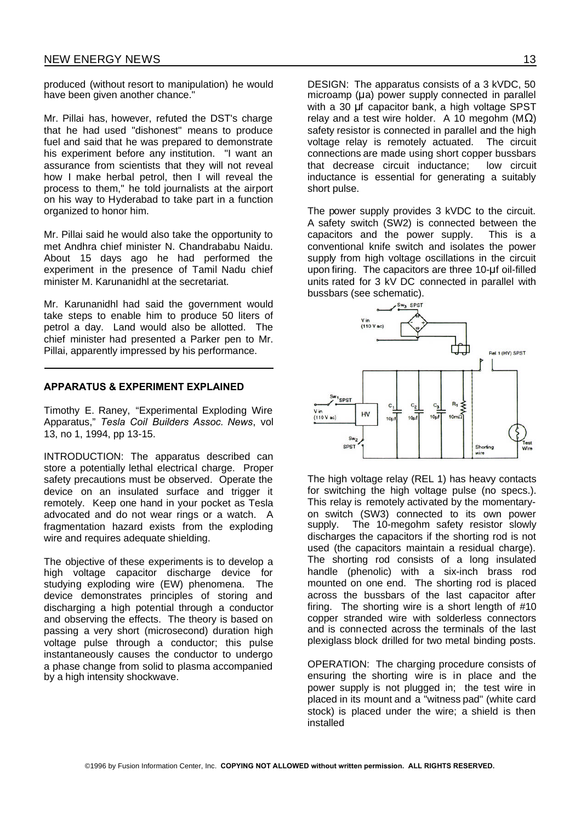produced (without resort to manipulation) he would have been given another chance."

Mr. Pillai has, however, refuted the DST's charge that he had used "dishonest" means to produce fuel and said that he was prepared to demonstrate his experiment before any institution. "I want an assurance from scientists that they will not reveal how I make herbal petrol, then I will reveal the process to them," he told journalists at the airport on his way to Hyderabad to take part in a function organized to honor him.

Mr. Pillai said he would also take the opportunity to met Andhra chief minister N. Chandrababu Naidu. About 15 days ago he had performed the experiment in the presence of Tamil Nadu chief minister M. Karunanidhl at the secretariat.

Mr. Karunanidhl had said the government would take steps to enable him to produce 50 liters of petrol a day. Land would also be allotted. The chief minister had presented a Parker pen to Mr. Pillai, apparently impressed by his performance.

#### **APPARATUS & EXPERIMENT EXPLAINED**

Timothy E. Raney, "Experimental Exploding Wire Apparatus," *Tesla Coil Builders Assoc. News*, vol 13, no 1, 1994, pp 13-15.

INTRODUCTION: The apparatus described can store a potentially lethal electrical charge. Proper safety precautions must be observed. Operate the device on an insulated surface and trigger it remotely. Keep one hand in your pocket as Tesla advocated and do not wear rings or a watch. A fragmentation hazard exists from the exploding wire and requires adequate shielding.

The objective of these experiments is to develop a high voltage capacitor discharge device for studying exploding wire (EW) phenomena. The device demonstrates principles of storing and discharging a high potential through a conductor and observing the effects. The theory is based on passing a very short (microsecond) duration high voltage pulse through a conductor; this pulse instantaneously causes the conductor to undergo a phase change from solid to plasma accompanied by a high intensity shockwave.

DESIGN: The apparatus consists of a 3 kVDC, 50 microamp ( $\mu$ a) power supply connected in parallel with a 30 µf capacitor bank, a high voltage SPST relay and a test wire holder. A 10 megohm ( $M\Omega$ ) safety resistor is connected in parallel and the high voltage relay is remotely actuated. The circuit connections are made using short copper bussbars that decrease circuit inductance; low circuit inductance is essential for generating a suitably short pulse.

The power supply provides 3 kVDC to the circuit. A safety switch (SW2) is connected between the capacitors and the power supply. This is a conventional knife switch and isolates the power supply from high voltage oscillations in the circuit upon firing. The capacitors are three 10-uf oil-filled units rated for 3 kV DC connected in parallel with bussbars (see schematic).



The high voltage relay (REL 1) has heavy contacts for switching the high voltage pulse (no specs.). This relay is remotely activated by the momentaryon switch (SW3) connected to its own power supply. The 10-megohm safety resistor slowly discharges the capacitors if the shorting rod is not used (the capacitors maintain a residual charge). The shorting rod consists of a long insulated handle (phenolic) with a six-inch brass rod mounted on one end. The shorting rod is placed across the bussbars of the last capacitor after firing. The shorting wire is a short length of #10 copper stranded wire with solderless connectors and is connected across the terminals of the last plexiglass block drilled for two metal binding posts.

OPERATION: The charging procedure consists of ensuring the shorting wire is in place and the power supply is not plugged in; the test wire in placed in its mount and a "witness pad" (white card stock) is placed under the wire; a shield is then installed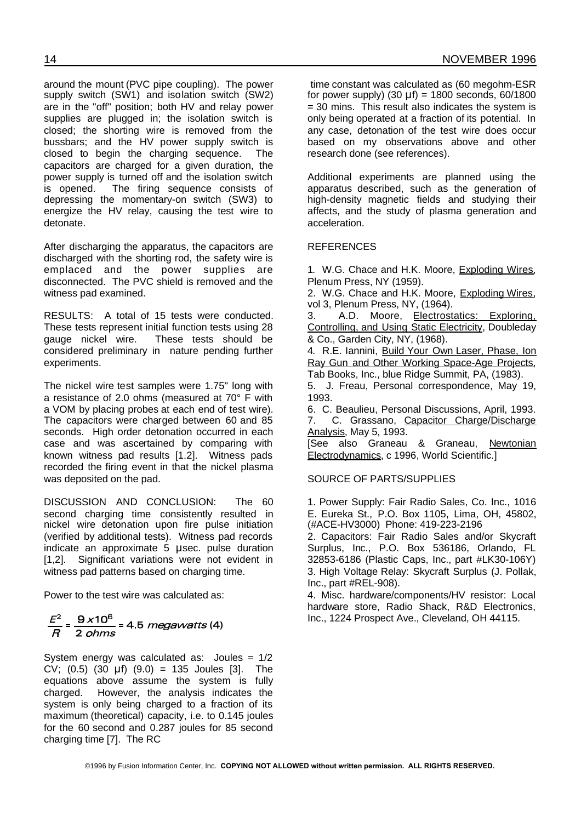around the mount (PVC pipe coupling). The power supply switch (SW1) and isolation switch (SW2) are in the "off" position; both HV and relay power supplies are plugged in; the isolation switch is closed; the shorting wire is removed from the bussbars; and the HV power supply switch is closed to begin the charging sequence. The capacitors are charged for a given duration, the power supply is turned off and the isolation switch is opened. The firing sequence consists of depressing the momentary-on switch (SW3) to energize the HV relay, causing the test wire to detonate.

After discharging the apparatus, the capacitors are discharged with the shorting rod, the safety wire is emplaced and the power supplies are disconnected. The PVC shield is removed and the witness pad examined.

RESULTS: A total of 15 tests were conducted. These tests represent initial function tests using 28 gauge nickel wire. These tests should be considered preliminary in nature pending further experiments.

The nickel wire test samples were 1.75" long with a resistance of 2.0 ohms (measured at 70° F with a VOM by placing probes at each end of test wire). The capacitors were charged between 60 and 85 seconds. High order detonation occurred in each case and was ascertained by comparing with known witness pad results [1.2]. Witness pads recorded the firing event in that the nickel plasma was deposited on the pad.

DISCUSSION AND CONCLUSION: The 60 second charging time consistently resulted in nickel wire detonation upon fire pulse initiation (verified by additional tests). Witness pad records indicate an approximate 5 µsec. pulse duration [1,2]. Significant variations were not evident in witness pad patterns based on charging time.

Power to the test wire was calculated as:

# $\frac{E^2}{B} = \frac{9 \times 10^6}{2 \text{ ohms}} = 4.5 \text{ megawatts}$ (4)

System energy was calculated as: Joules = 1/2 CV;  $(0.5)$   $(30 \text{ }\mu\text{f})$   $(9.0) = 135 \text{ Joules}$  [3]. The equations above assume the system is fully charged. However, the analysis indicates the system is only being charged to a fraction of its maximum (theoretical) capacity, i.e. to 0.145 joules for the 60 second and 0.287 joules for 85 second charging time [7]. The RC

time constant was calculated as (60 megohm-ESR for power supply)  $(30 \text{ }\mu\text{f}) = 1800$  seconds, 60/1800 = 30 mins. This result also indicates the system is only being operated at a fraction of its potential. In any case, detonation of the test wire does occur based on my observations above and other research done (see references).

Additional experiments are planned using the apparatus described, such as the generation of high-density magnetic fields and studying their affects, and the study of plasma generation and acceleration.

#### **REFERENCES**

1. W.G. Chace and H.K. Moore, Exploding Wires, Plenum Press, NY (1959).

2. W.G. Chace and H.K. Moore, Exploding Wires, vol 3, Plenum Press, NY, (1964).

3. A.D. Moore, Electrostatics: Exploring, Controlling, and Using Static Electricity, Doubleday & Co., Garden City, NY, (1968).

4. R.E. Iannini, Build Your Own Laser, Phase, Ion Ray Gun and Other Working Space-Age Projects, Tab Books, Inc., blue Ridge Summit, PA, (1983).

5. J. Freau, Personal correspondence, May 19, 1993.

6. C. Beaulieu, Personal Discussions, April, 1993. 7. C. Grassano, Capacitor Charge/Discharge Analysis, May 5, 1993.

[See also Graneau & Graneau, Newtonian Electrodynamics, c 1996, World Scientific.]

#### SOURCE OF PARTS/SUPPLIES

1. Power Supply: Fair Radio Sales, Co. Inc., 1016 E. Eureka St., P.O. Box 1105, Lima, OH, 45802, (#ACE-HV3000) Phone: 419-223-2196

2. Capacitors: Fair Radio Sales and/or Skycraft Surplus, Inc., P.O. Box 536186, Orlando, FL 32853-6186 (Plastic Caps, Inc., part #LK30-106Y) 3. High Voltage Relay: Skycraft Surplus (J. Pollak, Inc., part #REL-908).

4. Misc. hardware/components/HV resistor: Local hardware store, Radio Shack, R&D Electronics, Inc., 1224 Prospect Ave., Cleveland, OH 44115.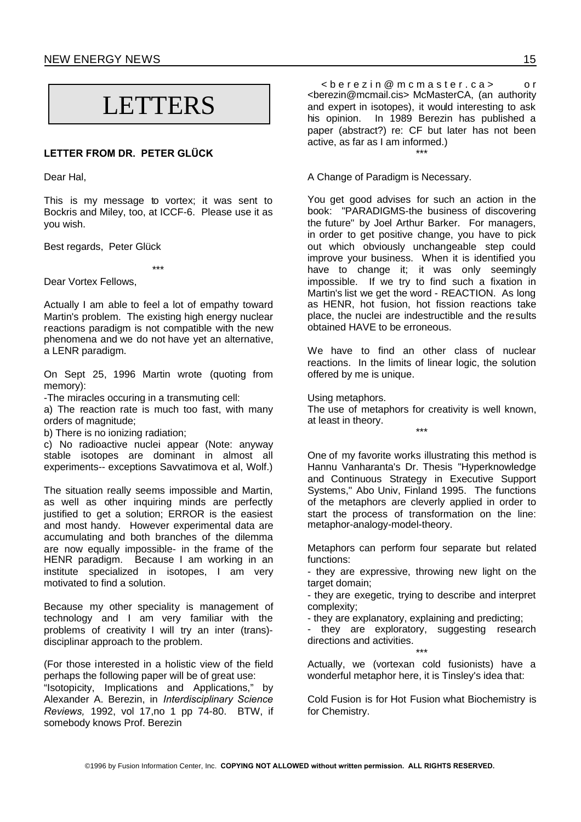NEW ENERGY NEWS 15

# LETTERS

#### **LETTER FROM DR. PETER GLÜCK**

Dear Hal,

This is my message to vortex; it was sent to Bockris and Miley, too, at ICCF-6. Please use it as you wish.

Best regards, Peter Glück

\*\*\*

Dear Vortex Fellows,

Actually I am able to feel a lot of empathy toward Martin's problem. The existing high energy nuclear reactions paradigm is not compatible with the new phenomena and we do not have yet an alternative, a LENR paradigm.

On Sept 25, 1996 Martin wrote (quoting from memory):

-The miracles occuring in a transmuting cell:

a) The reaction rate is much too fast, with many orders of magnitude;

b) There is no ionizing radiation;

c) No radioactive nuclei appear (Note: anyway stable isotopes are dominant in almost all experiments-- exceptions Savvatimova et al, Wolf.)

The situation really seems impossible and Martin, as well as other inquiring minds are perfectly justified to get a solution; ERROR is the easiest and most handy. However experimental data are accumulating and both branches of the dilemma are now equally impossible- in the frame of the HENR paradigm. Because I am working in an institute specialized in isotopes, I am very motivated to find a solution.

Because my other speciality is management of technology and I am very familiar with the problems of creativity I will try an inter (trans) disciplinar approach to the problem.

(For those interested in a holistic view of the field perhaps the following paper will be of great use:

"Isotopicity, Implications and Applications," by Alexander A. Berezin, in *Interdisciplinary Science Reviews,* 1992, vol 17,no 1 pp 74-80. BTW, if somebody knows Prof. Berezin

< b e r e z i n @ m c m a s t e r . c a > o r <berezin@mcmail.cis> McMasterCA, (an authority and expert in isotopes), it would interesting to ask his opinion. In 1989 Berezin has published a paper (abstract?) re: CF but later has not been active, as far as I am informed.) \*\*\*

A Change of Paradigm is Necessary.

You get good advises for such an action in the book: "PARADIGMS-the business of discovering the future" by Joel Arthur Barker. For managers, in order to get positive change, you have to pick out which obviously unchangeable step could improve your business. When it is identified you have to change it; it was only seemingly impossible. If we try to find such a fixation in Martin's list we get the word - REACTION. As long as HENR, hot fusion, hot fission reactions take place, the nuclei are indestructible and the results obtained HAVE to be erroneous.

We have to find an other class of nuclear reactions. In the limits of linear logic, the solution offered by me is unique.

Using metaphors.

The use of metaphors for creativity is well known, at least in theory. \*\*\*

One of my favorite works illustrating this method is Hannu Vanharanta's Dr. Thesis "Hyperknowledge and Continuous Strategy in Executive Support Systems," Abo Univ, Finland 1995. The functions of the metaphors are cleverly applied in order to start the process of transformation on the line: metaphor-analogy-model-theory.

Metaphors can perform four separate but related functions:

- they are expressive, throwing new light on the target domain:

- they are exegetic, trying to describe and interpret complexity;

- they are explanatory, explaining and predicting;

they are exploratory, suggesting research directions and activities.

\*\*\* Actually, we (vortexan cold fusionists) have a wonderful metaphor here, it is Tinsley's idea that:

Cold Fusion is for Hot Fusion what Biochemistry is for Chemistry.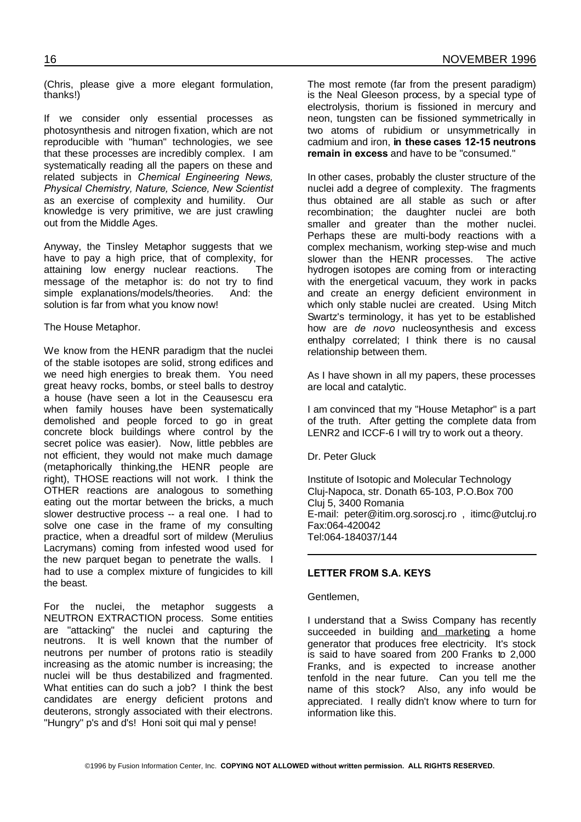(Chris, please give a more elegant formulation, thanks!)

If we consider only essential processes as photosynthesis and nitrogen fixation, which are not reproducible with "human" technologies, we see that these processes are incredibly complex. I am systematically reading all the papers on these and related subjects in *Chemical Engineering News, Physical Chemistry, Nature, Science, New Scientist* as an exercise of complexity and humility. Our knowledge is very primitive, we are just crawling out from the Middle Ages.

Anyway, the Tinsley Metaphor suggests that we have to pay a high price, that of complexity, for attaining low energy nuclear reactions. The message of the metaphor is: do not try to find simple explanations/models/theories. And: the solution is far from what you know now!

The House Metaphor.

We know from the HENR paradigm that the nuclei of the stable isotopes are solid, strong edifices and we need high energies to break them. You need great heavy rocks, bombs, or steel balls to destroy a house (have seen a lot in the Ceausescu era when family houses have been systematically demolished and people forced to go in great concrete block buildings where control by the secret police was easier). Now, little pebbles are not efficient, they would not make much damage (metaphorically thinking,the HENR people are right), THOSE reactions will not work. I think the OTHER reactions are analogous to something eating out the mortar between the bricks, a much slower destructive process -- a real one. I had to solve one case in the frame of my consulting practice, when a dreadful sort of mildew (Merulius Lacrymans) coming from infested wood used for the new parquet began to penetrate the walls. I had to use a complex mixture of fungicides to kill the beast.

For the nuclei, the metaphor suggests a NEUTRON EXTRACTION process. Some entities are "attacking" the nuclei and capturing the neutrons. It is well known that the number of neutrons per number of protons ratio is steadily increasing as the atomic number is increasing; the nuclei will be thus destabilized and fragmented. What entities can do such a job? I think the best candidates are energy deficient protons and deuterons, strongly associated with their electrons. "Hungry" p's and d's! Honi soit qui mal y pense!

The most remote (far from the present paradigm) is the Neal Gleeson process, by a special type of electrolysis, thorium is fissioned in mercury and neon, tungsten can be fissioned symmetrically in two atoms of rubidium or unsymmetrically in cadmium and iron, **in these cases 12-15 neutrons remain in excess** and have to be "consumed."

In other cases, probably the cluster structure of the nuclei add a degree of complexity. The fragments thus obtained are all stable as such or after recombination; the daughter nuclei are both smaller and greater than the mother nuclei. Perhaps these are multi-body reactions with a complex mechanism, working step-wise and much slower than the HENR processes. The active hydrogen isotopes are coming from or interacting with the energetical vacuum, they work in packs and create an energy deficient environment in which only stable nuclei are created. Using Mitch Swartz's terminology, it has yet to be established how are *de novo* nucleosynthesis and excess enthalpy correlated; I think there is no causal relationship between them.

As I have shown in all my papers, these processes are local and catalytic.

I am convinced that my "House Metaphor" is a part of the truth. After getting the complete data from LENR2 and ICCF-6 I will try to work out a theory.

Dr. Peter Gluck

Institute of Isotopic and Molecular Technology Cluj-Napoca, str. Donath 65-103, P.O.Box 700 Cluj 5, 3400 Romania E-mail: peter@itim.org.soroscj.ro , itimc@utcluj.ro Fax:064-420042 Tel:064-184037/144

#### **LETTER FROM S.A. KEYS**

Gentlemen,

I understand that a Swiss Company has recently succeeded in building and marketing a home generator that produces free electricity. It's stock is said to have soared from 200 Franks to 2,000 Franks, and is expected to increase another tenfold in the near future. Can you tell me the name of this stock? Also, any info would be appreciated. I really didn't know where to turn for information like this.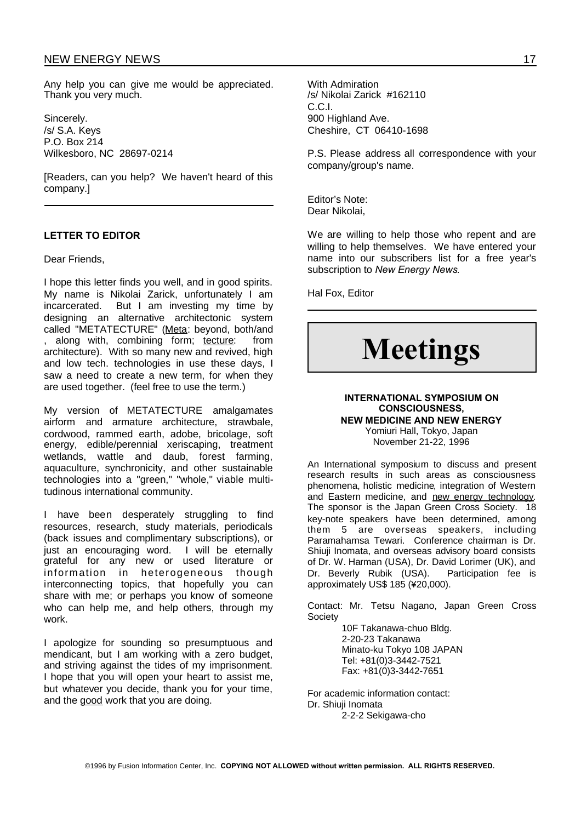#### NEW ENERGY NEWS 17

Any help you can give me would be appreciated. Thank you very much.

Sincerely. /s/ S.A. Keys P.O. Box 214 Wilkesboro, NC 28697-0214

[Readers, can you help? We haven't heard of this company.]

#### **LETTER TO EDITOR**

Dear Friends,

I hope this letter finds you well, and in good spirits. My name is Nikolai Zarick, unfortunately I am incarcerated. But I am investing my time by designing an alternative architectonic system called "METATECTURE" (Meta: beyond, both/and , along with, combining form; tecture: from architecture). With so many new and revived, high and low tech. technologies in use these days, I saw a need to create a new term, for when they are used together. (feel free to use the term.)

My version of METATECTURE amalgamates airform and armature architecture, strawbale, cordwood, rammed earth, adobe, bricolage, soft energy, edible/perennial xeriscaping, treatment wetlands, wattle and daub, forest farming, aquaculture, synchronicity, and other sustainable technologies into a "green," "whole," viable multitudinous international community.

I have been desperately struggling to find resources, research, study materials, periodicals (back issues and complimentary subscriptions), or just an encouraging word. I will be eternally grateful for any new or used literature or information in heterogeneous though interconnecting topics, that hopefully you can share with me; or perhaps you know of someone who can help me, and help others, through my work.

I apologize for sounding so presumptuous and mendicant, but I am working with a zero budget, and striving against the tides of my imprisonment. I hope that you will open your heart to assist me, but whatever you decide, thank you for your time, and the good work that you are doing.

With Admiration /s/ Nikolai Zarick #162110 C.C.I. 900 Highland Ave. Cheshire, CT 06410-1698

P.S. Please address all correspondence with your company/group's name.

Editor's Note: Dear Nikolai,

We are willing to help those who repent and are willing to help themselves. We have entered your name into our subscribers list for a free year's subscription to *New Energy News*.

Hal Fox, Editor

# **Meetings**

#### **INTERNATIONAL SYMPOSIUM ON CONSCIOUSNESS, NEW MEDICINE AND NEW ENERGY** Yomiuri Hall, Tokyo, Japan

November 21-22, 1996

An International symposium to discuss and present research results in such areas as consciousness phenomena, holistic medicine, integration of Western and Eastern medicine, and new energy technology. The sponsor is the Japan Green Cross Society. 18 key-note speakers have been determined, among them 5 are overseas speakers, including Paramahamsa Tewari. Conference chairman is Dr. Shiuji Inomata, and overseas advisory board consists of Dr. W. Harman (USA), Dr. David Lorimer (UK), and Dr. Beverly Rubik (USA). Participation fee is approximately US\$ 185 (¥20,000).

Contact: Mr. Tetsu Nagano, Japan Green Cross **Society** 

> 10F Takanawa-chuo Bldg. 2-20-23 Takanawa Minato-ku Tokyo 108 JAPAN Tel: +81(0)3-3442-7521 Fax: +81(0)3-3442-7651

For academic information contact: Dr. Shiuji Inomata

2-2-2 Sekigawa-cho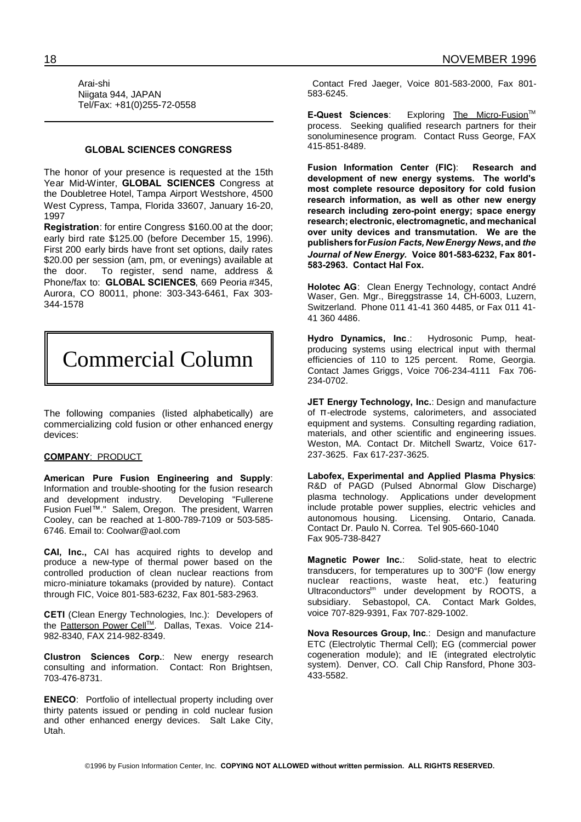Arai-shi Niigata 944, JAPAN Tel/Fax: +81(0)255-72-0558

#### **GLOBAL SCIENCES CONGRESS**

The honor of your presence is requested at the 15th Year Mid-Winter, **GLOBAL SCIENCES** Congress at the Doubletree Hotel, Tampa Airport Westshore, 4500 West Cypress, Tampa, Florida 33607, January 16-20, 1997

**Registration**: for entire Congress \$160.00 at the door; early bird rate \$125.00 (before December 15, 1996). First 200 early birds have front set options, daily rates \$20.00 per session (am, pm, or evenings) available at the door. To register, send name, address & Phone/fax to: **GLOBAL SCIENCES**, 669 Peoria #345, Aurora, CO 80011, phone: 303-343-6461, Fax 303- 344-1578



The following companies (listed alphabetically) are commercializing cold fusion or other enhanced energy devices:

#### **COMPANY**: PRODUCT

**American Pure Fusion Engineering and Supply**: Information and trouble-shooting for the fusion research and development industry. Developing "Fullerene Fusion Fuel™." Salem, Oregon. The president, Warren Cooley, can be reached at 1-800-789-7109 or 503-585- 6746. Email to: Coolwar@aol.com

**CAI, Inc.,** CAI has acquired rights to develop and produce a new-type of thermal power based on the controlled production of clean nuclear reactions from micro-miniature tokamaks (provided by nature). Contact through FIC, Voice 801-583-6232, Fax 801-583-2963.

**CETI** (Clean Energy Technologies, Inc.): Developers of the <u>Patterson Power Cell™</u>. Dallas, Texas. Voice 214-982-8340, FAX 214-982-8349.

**Clustron Sciences Corp.**: New energy research consulting and information. Contact: Ron Brightsen, 703-476-8731.

**ENECO**: Portfolio of intellectual property including over thirty patents issued or pending in cold nuclear fusion and other enhanced energy devices. Salt Lake City, Utah.

Contact Fred Jaeger, Voice 801-583-2000, Fax 801- 583-6245.

**E-Quest Sciences:** Exploring The Micro-Fusion<sup>™</sup> process. Seeking qualified research partners for their sonoluminesence program. Contact Russ George, FAX 415-851-8489.

**Fusion Information Center (FIC)**: **Research and development of new energy systems. The world's most complete resource depository for cold fusion research information, as well as other new energy research including zero-point energy; space energy research; electronic, electromagnetic, and mechanical over unity devices and transmutation. We are the publishers for***Fusion Facts, NewEnergy News***, and** *the Journal of New Energy.* **Voice 801-583-6232, Fax 801- 583-2963. Contact Hal Fox.**

**Holotec AG**: Clean Energy Technology, contact André Waser, Gen. Mgr., Bireggstrasse 14, CH-6003, Luzern, Switzerland. Phone 011 41-41 360 4485, or Fax 011 41- 41 360 4486.

**Hydro Dynamics, Inc**.: Hydrosonic Pump, heatproducing systems using electrical input with thermal efficiencies of 110 to 125 percent. Rome, Georgia. Contact James Griggs, Voice 706-234-4111 Fax 706- 234-0702.

**JET Energy Technology, Inc.**: Design and manufacture of  $\pi$ -electrode systems, calorimeters, and associated equipment and systems. Consulting regarding radiation, materials, and other scientific and engineering issues. Weston, MA. Contact Dr. Mitchell Swartz, Voice 617- 237-3625. Fax 617-237-3625.

**Labofex, Experimental and Applied Plasma Physics**: R&D of PAGD (Pulsed Abnormal Glow Discharge) plasma technology. Applications under development include protable power supplies, electric vehicles and autonomous housing. Licensing. Ontario, Canada. Contact Dr. Paulo N. Correa. Tel 905-660-1040 Fax 905-738-8427

**Magnetic Power Inc.**: Solid-state, heat to electric transducers, for temperatures up to 300°F (low energy nuclear reactions, waste heat, etc.) featuring Ultraconductors<sup>tm</sup> under development by ROOTS, a subsidiary. Sebastopol, CA. Contact Mark Goldes, voice 707-829-9391, Fax 707-829-1002.

**Nova Resources Group, Inc**.: Design and manufacture ETC (Electrolytic Thermal Cell); EG (commercial power cogeneration module); and IE (integrated electrolytic system). Denver, CO. Call Chip Ransford, Phone 303- 433-5582.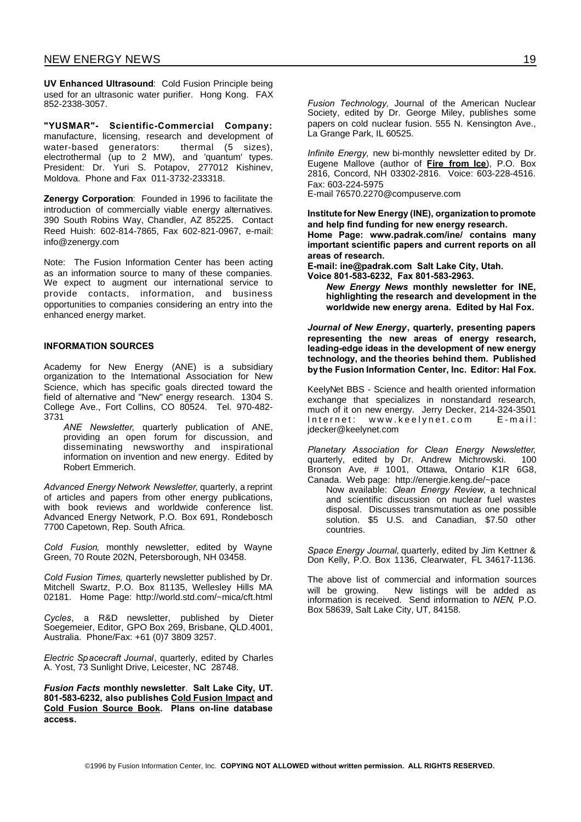**UV Enhanced Ultrasound**: Cold Fusion Principle being used for an ultrasonic water purifier. Hong Kong. FAX 852-2338-3057.

**"YUSMAR"- Scientific-Commercial Company:** manufacture, licensing, research and development of water-based generators: thermal (5 sizes), electrothermal (up to 2 MW), and 'quantum' types. President: Dr. Yuri S. Potapov, 277012 Kishinev, Moldova. Phone and Fax 011-3732-233318.

**Zenergy Corporation**: Founded in 1996 to facilitate the introduction of commercially viable energy alternatives. 390 South Robins Way, Chandler, AZ 85225. Contact Reed Huish: 602-814-7865, Fax 602-821-0967, e-mail: info@zenergy.com

Note: The Fusion Information Center has been acting as an information source to many of these companies. We expect to augment our international service to provide contacts, information, and business opportunities to companies considering an entry into the enhanced energy market.

#### **INFORMATION SOURCES**

Academy for New Energy (ANE) is a subsidiary organization to the International Association for New Science, which has specific goals directed toward the field of alternative and "New" energy research. 1304 S. College Ave., Fort Collins, CO 80524. Tel. 970-482- 3731

*ANE Newsletter*, quarterly publication of ANE, providing an open forum for discussion, and disseminating newsworthy and inspirational information on invention and new energy. Edited by Robert Emmerich.

*Advanced Energy Network Newsletter*, quarterly, a reprint of articles and papers from other energy publications, with book reviews and worldwide conference list. Advanced Energy Network, P.O. Box 691, Rondebosch 7700 Capetown, Rep. South Africa.

*Cold Fusion*, monthly newsletter, edited by Wayne Green, 70 Route 202N, Petersborough, NH 03458.

*Cold Fusion Times,* quarterly newsletter published by Dr. Mitchell Swartz, P.O. Box 81135, Wellesley Hills MA 02181. Home Page: http://world.std.com/~mica/cft.html

*Cycles*, a R&D newsletter, published by Dieter Soegemeier, Editor, GPO Box 269, Brisbane, QLD.4001, Australia. Phone/Fax: +61 (0)7 3809 3257.

*Electric Spacecraft Journal*, quarterly, edited by Charles A. Yost, 73 Sunlight Drive, Leicester, NC 28748.

*Fusion Facts* **monthly newsletter**. **Salt Lake City, UT. 801-583-6232, also publishes Cold Fusion Impact and Cold Fusion Source Book. Plans on-line database access.**

*Fusion Technology,* Journal of the American Nuclear Society, edited by Dr. George Miley, publishes some papers on cold nuclear fusion. 555 N. Kensington Ave., La Grange Park, IL 60525.

*Infinite Energy,* new bi-monthly newsletter edited by Dr. Eugene Mallove (author of **Fire from Ice**), P.O. Box 2816, Concord, NH 03302-2816. Voice: 603-228-4516. Fax: 603-224-5975

E-mail 76570.2270@compuserve.com

**Institutefor New Energy (INE), organizationtopromote and help find funding for new energy research. Home Page: www.padrak.com/ine/ contains many important scientific papers and current reports on all areas of research.**

**E-mail: ine@padrak.com Salt Lake City, Utah. Voice 801-583-6232, Fax 801-583-2963.**

*New Energy News* **monthly newsletter for INE, highlighting the research and development in the worldwide new energy arena. Edited by Hal Fox.**

*Journal of New Energy***, quarterly, presenting papers representing the new areas of energy research, leading-edge ideas in the development of new energy technology, and the theories behind them. Published bythe Fusion Information Center, Inc. Editor: Hal Fox.**

KeelyNet BBS - Science and health oriented information exchange that specializes in nonstandard research, much of it on new energy. Jerry Decker, 214-324-3501 Internet: www.keelynet.com E-mail: jdecker@keelynet.com

*Planetary Association for Clean Energy Newsletter*, quarterly, edited by Dr. Andrew Michrowski. 100 Bronson Ave, # 1001, Ottawa, Ontario K1R 6G8, Canada. Web page: http://energie.keng.de/~pace

Now available: *Clean Energy Review*, a technical and scientific discussion on nuclear fuel wastes disposal. Discusses transmutation as one possible solution. \$5 U.S. and Canadian, \$7.50 other countries.

*Space Energy Journal*, quarterly, edited by Jim Kettner & Don Kelly, P.O. Box 1136, Clearwater, FL 34617-1136.

The above list of commercial and information sources will be growing. New listings will be added as information is received. Send information to *NEN*, P.O. Box 58639, Salt Lake City, UT, 84158.